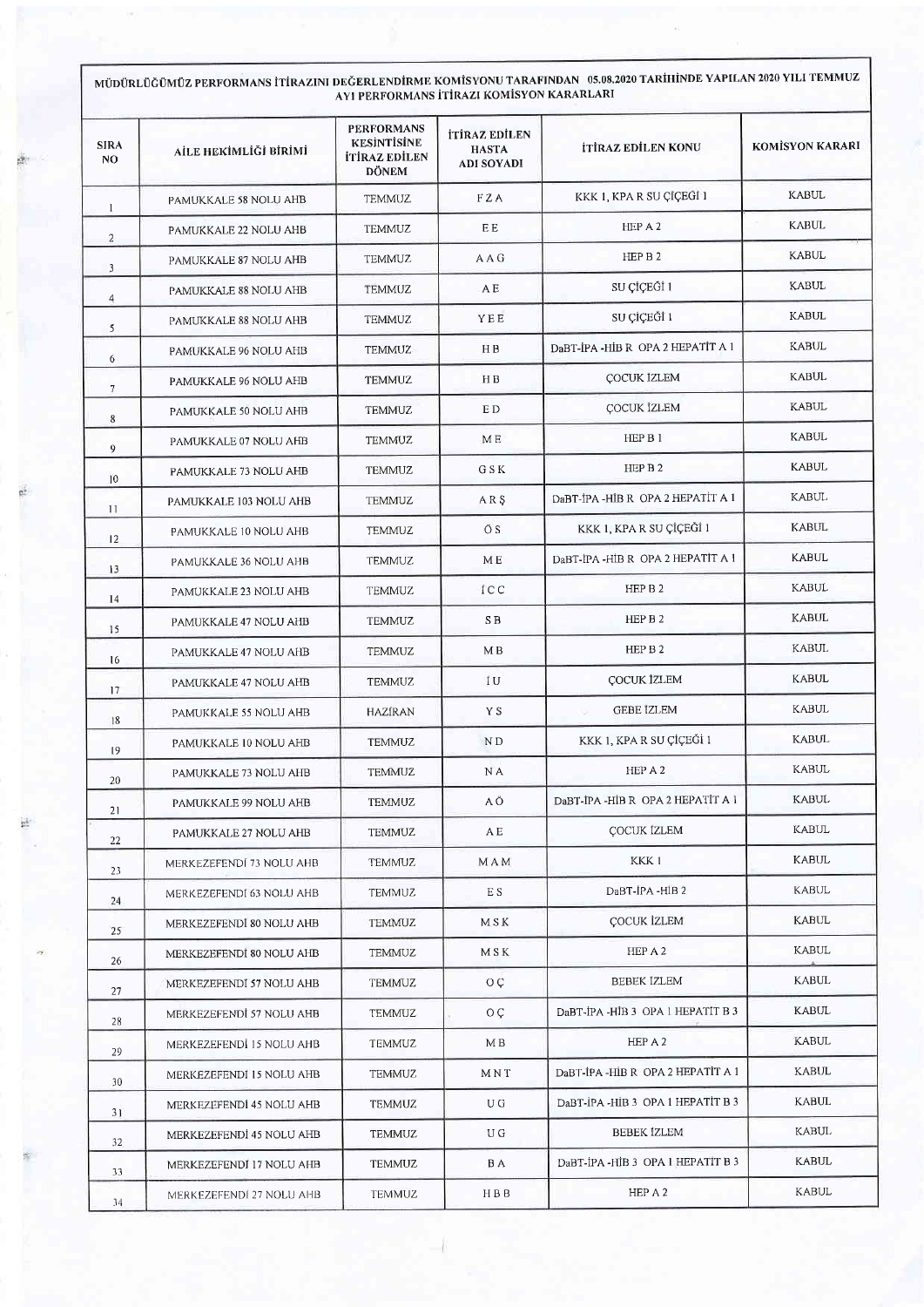## MÜDÜRLÜĞÜMÜZ PERFORMANS İTİRAZINI DEĞERLENDİRME KOMİSYONU TARAFINDAN 05.08.2020 TARİHİNDE YAPILAN 2020 YILI TEMMUZ<br>AYI PERFORMANS İTİRAZI KOMİSYON KARARLARI

| <b>SIRA</b><br>N <sub>O</sub> | AİLE HEKİMLİĞİ BİRİMİ    | <b>PERFORMANS</b><br><b>KESINTISINE</b><br><b>İTİRAZ EDİLEN</b><br><b>DÖNEM</b> | İTİRAZ EDİLEN<br><b>HASTA</b><br><b>ADI SOYADI</b> | <b>İTİRAZ EDİLEN KONU</b>           | <b>KOMİSYON KARARI</b> |
|-------------------------------|--------------------------|---------------------------------------------------------------------------------|----------------------------------------------------|-------------------------------------|------------------------|
| $\mathbf{1}$                  | PAMUKKALE 58 NOLU AHB    | <b>TEMMUZ</b>                                                                   | FZA                                                | KKK 1, KPA R SU ÇİÇEĞİ 1            | <b>KABUL</b>           |
| $\overline{2}$                | PAMUKKALE 22 NOLU AHB    | <b>TEMMUZ</b>                                                                   | E E                                                | HEP A 2                             | <b>KABUL</b>           |
| 3                             | PAMUKKALE 87 NOLU AHB    | <b>TEMMUZ</b>                                                                   | AAG                                                | HEP B 2                             | <b>KABUL</b>           |
| $\overline{4}$                | PAMUKKALE 88 NOLU AHB    | <b>TEMMUZ</b>                                                                   | A E                                                | SU ÇİÇEĞİ 1                         | <b>KABUL</b>           |
| 5                             | PAMUKKALE 88 NOLU AHB    | <b>TEMMUZ</b>                                                                   | YEE                                                | SU CÍCEĞÍ 1                         | <b>KABUL</b>           |
| 6                             | PAMUKKALE 96 NOLU AHB    | <b>TEMMUZ</b>                                                                   | HB                                                 | DaBT-İPA-HİB R OPA 2 HEPATİT A 1    | <b>KABUL</b>           |
| $7\phantom{.0}$               | PAMUKKALE 96 NOLU AHB    | <b>TEMMUZ</b>                                                                   | HB                                                 | COCUK IZLEM                         | <b>KABUL</b>           |
| $\bf 8$                       | PAMUKKALE 50 NOLU AHB    | <b>TEMMUZ</b>                                                                   | ED.                                                | <b>COCUK İZLEM</b>                  | <b>KABUL</b>           |
| 9                             | PAMUKKALE 07 NOLU AHB    | <b>TEMMUZ</b>                                                                   | M E                                                | HEP B 1                             | <b>KABUL</b>           |
| 10                            | PAMUKKALE 73 NOLU AHB    | <b>TEMMUZ</b>                                                                   | G S K                                              | HEP B 2                             | <b>KABUL</b>           |
| $\mathbf{1}$                  | PAMUKKALE 103 NOLU AHB   | <b>TEMMUZ</b>                                                                   | ARS                                                | DaBT-IPA-HIB R OPA 2 HEPATIT A 1    | <b>KABUL</b>           |
| 12                            | PAMUKKALE 10 NOLU AHB    | <b>TEMMUZ</b>                                                                   | Őδ                                                 | KKK 1, KPA R SU ÇİÇEĞİ 1            | <b>KABUL</b>           |
| 13                            | PAMUKKALE 36 NOLU AHB    | <b>TEMMUZ</b>                                                                   | M E                                                | DaBT-IPA-HIB R OPA 2 HEPATIT A 1    | <b>KABUL</b>           |
| 14                            | PAMUKKALE 23 NOLU AHB    | <b>TEMMUZ</b>                                                                   | ICC                                                | HEP B 2                             | <b>KABUL</b>           |
| 15                            | PAMUKKALE 47 NOLU AHB    | <b>TEMMUZ</b>                                                                   | S B                                                | HEP B <sub>2</sub>                  | <b>KABUL</b>           |
| 16                            | PAMUKKALE 47 NOLU AHB    | TEMMUZ                                                                          | M <sub>B</sub>                                     | HEP B 2                             | <b>KABUL</b>           |
| 17                            | PAMUKKALE 47 NOLU AHB    | <b>TEMMUZ</b>                                                                   | IU.                                                | <b>COCUK İZLEM</b>                  | <b>KABUL</b>           |
| 8                             | PAMUKKALE 55 NOLU AHB    | HAZIRAN                                                                         | Y S                                                | <b>GEBE IZLEM</b>                   | <b>KABUL</b>           |
| 19                            | PAMUKKALE 10 NOLU AHB    | <b>TEMMUZ</b>                                                                   | ND                                                 | KKK 1, KPA R SU CÍCEĞİ 1            | <b>KABUL</b>           |
| 20                            | PAMUKKALE 73 NOLU AHB    | <b>TEMMUZ</b>                                                                   | N A                                                | HEP A 2                             | <b>KABUL</b>           |
| 21                            | PAMUKKALE 99 NOLU AHB    | <b>TEMMUZ</b>                                                                   | A Ö                                                | DaBT-IPA -HIB R OPA 2 HEPATIT A $1$ | <b>KABUL</b>           |
| 22                            | PAMUKKALE 27 NOLU AHB    | <b>TEMMUZ</b>                                                                   | AΕ                                                 | <b>COCUK IZLEM</b>                  | <b>KABUL</b>           |
| 23                            | MERKEZEFENDI 73 NOLU AHB | <b>TEMMUZ</b>                                                                   | MAM                                                | KKK 1                               | KABUL                  |
| 24                            | MERKEZEFENDI 63 NOLU AHB | <b>TEMMUZ</b>                                                                   | E S                                                | DaBT-IPA -HIB 2                     | <b>KABUL</b>           |
| 25                            | MERKEZEFENDÍ 80 NOLU AHB | TEMMUZ                                                                          | M S K                                              | COCUK İZLEM                         | KABUL                  |
| 26                            | MERKEZEFENDİ 80 NOLU AHB | TEMMUZ                                                                          | M S K                                              | HEP A 2                             | KABUL                  |
|                               | MERKEZEFENDI 57 NOLU AHB | <b>TEMMUZ</b>                                                                   | $O \subset$                                        | <b>BEBEK IZLEM</b>                  | KABUL                  |
| 27<br>28                      | MERKEZEFENDI 57 NOLU AHB | TEMMUZ                                                                          | O Ç                                                | DaBT-IPA-HIB 3 OPA 1 HEPATIT B 3    | <b>KABUL</b>           |
|                               | MERKEZEFENDI 15 NOLU AHB | TEMMUZ                                                                          | M B                                                | HEP A 2                             | KABUL                  |
| 29                            | MERKEZEFENDI 15 NOLU AHB | TEMMUZ                                                                          | MNT                                                | DaBT-IPA-HIB R OPA 2 HEPATIT A 1    | <b>KABUL</b>           |
| 30                            | MERKEZEFENDİ 45 NOLU AHB | TEMMUZ                                                                          | U G                                                | DaBT-IPA -HIB 3 OPA 1 HEPATIT B 3   | <b>KABUL</b>           |
| 31                            | MERKEZEFENDI 45 NOLU AHB | TEMMUZ                                                                          | U G                                                | <b>BEBEK IZLEM</b>                  | KABUL                  |
| 32<br>33                      | MERKEZEFENDI 17 NOLU AHB | TEMMUZ                                                                          | B A                                                | DaBT-IPA-HIB 3 OPA 1 HEPATIT B 3    | KABUL                  |
| 34                            | MERKEZEFENDI 27 NOLU AHB | TEMMUZ                                                                          | HBB                                                | HEP A 2                             | KABUL                  |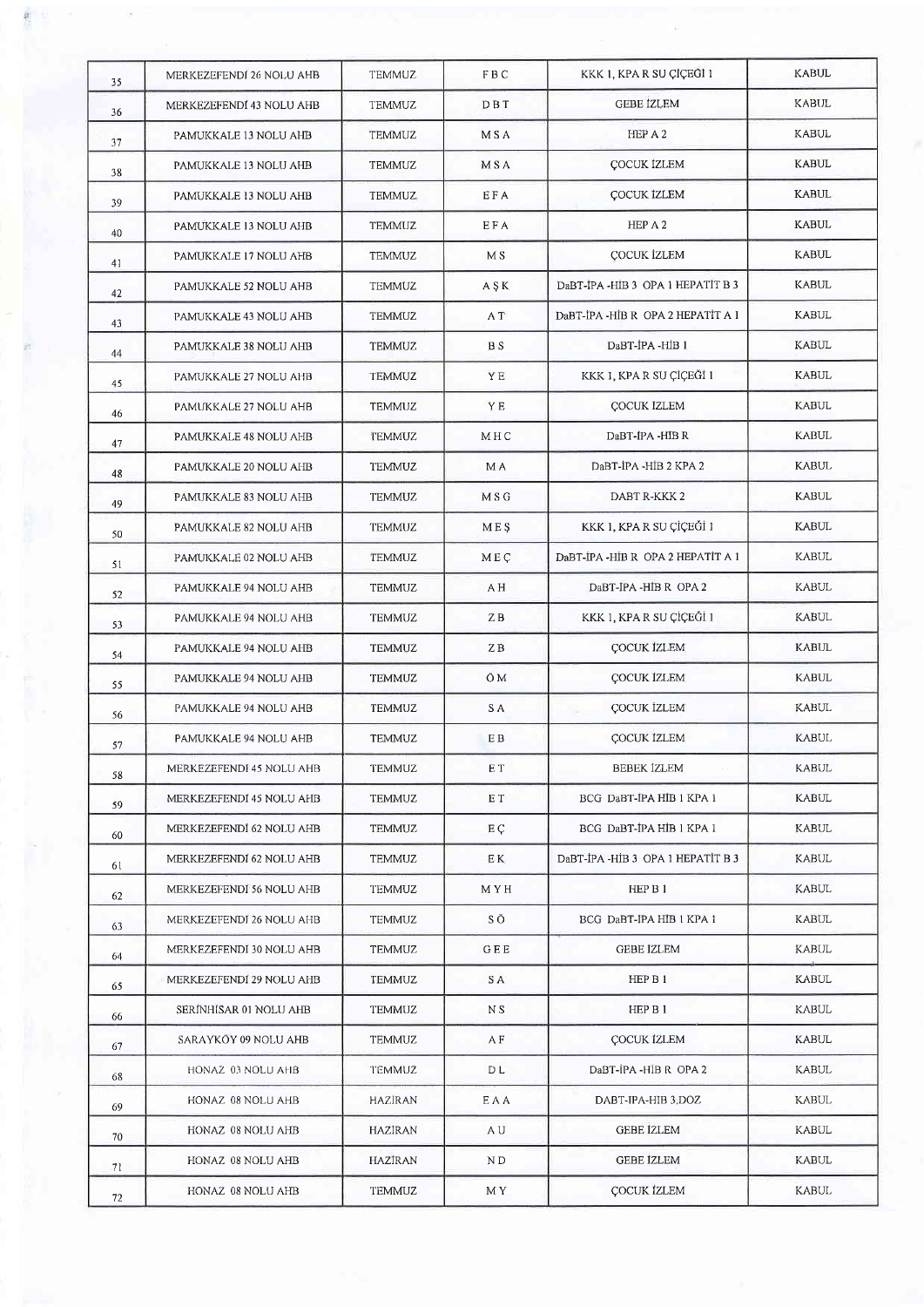|  | 35 | MERKEZEFENDI 26 NOLU AHB | <b>TEMMUZ</b> | FBC        | KKK 1, KPA R SU ÇIÇEĞİ 1         | <b>KABUL</b> |
|--|----|--------------------------|---------------|------------|----------------------------------|--------------|
|  | 36 | MERKEZEFENDI 43 NOLU AHB | <b>TEMMUZ</b> | DBT        | <b>GEBE IZLEM</b>                | <b>KABUL</b> |
|  | 37 | PAMUKKALE 13 NOLU AHB    | TEMMUZ        | M S A      | HEP A 2                          | <b>KABUL</b> |
|  | 38 | PAMUKKALE 13 NOLU AHB    | <b>TEMMUZ</b> | <b>MSA</b> | <b>COCUK IZLEM</b>               | <b>KABUL</b> |
|  | 39 | PAMUKKALE 13 NOLU AHB    | TEMMUZ        | EFA        | <b>COCUK IZLEM</b>               | <b>KABUL</b> |
|  | 40 | PAMUKKALE 13 NOLU AHB    | <b>TEMMUZ</b> | EFA        | HEP A 2                          | <b>KABUL</b> |
|  | 41 | PAMUKKALE 17 NOLU AHB    | TEMMUZ        | M S        | <b>COCUK İZLEM</b>               | <b>KABUL</b> |
|  | 42 | PAMUKKALE 52 NOLU AHB    | TEMMUZ        | A S K      | DaBT-IPA-HIB 3 OPA 1 HEPATIT B 3 | <b>KABUL</b> |
|  | 43 | PAMUKKALE 43 NOLU AHB    | TEMMUZ        | A T        | DaBT-IPA-HIB R OPA 2 HEPATIT A 1 | KABUL        |
|  | 44 | PAMUKKALE 38 NOLU AHB    | TEMMUZ        | B S        | DaBT-IPA-HIB 1                   | KABUL        |
|  | 45 | PAMUKKALE 27 NOLU AHB    | TEMMUZ        | YE         | KKK 1, KPA R SU CICEĞİ 1         | <b>KABUL</b> |
|  | 46 | PAMUKKALE 27 NOLU AHB    | TEMMUZ        | YE         | <b>ÇOCUK IZLEM</b>               | <b>KABUL</b> |
|  | 47 | PAMUKKALE 48 NOLU AHB    | TEMMUZ        | MHC        | DaBT-IPA -HIB R                  | <b>KABUL</b> |
|  |    | PAMUKKALE 20 NOLU AHB    | <b>TEMMUZ</b> | M A        | DaBT-IPA -HIB 2 KPA 2            | <b>KABUL</b> |
|  | 48 | PAMUKKALE 83 NOLU AHB    | <b>TEMMUZ</b> | M S G      | DABT R-KKK 2                     | <b>KABUL</b> |
|  | 49 | PAMUKKALE 82 NOLU AHB    | <b>TEMMUZ</b> | <b>MES</b> | KKK 1, KPA R SU ÇİÇEĞİ 1         | <b>KABUL</b> |
|  | 50 | PAMUKKALE 02 NOLU AHB    | TEMMUZ        | MEC        | DaBT-IPA-HIB R OPA 2 HEPATIT A 1 | <b>KABUL</b> |
|  | 51 | PAMUKKALE 94 NOLU AHB    | TEMMUZ        | A H        | DaBT-IPA -HIB R OPA 2            | <b>KABUL</b> |
|  | 52 | PAMUKKALE 94 NOLU AHB    | <b>TEMMUZ</b> | ZB         | KKK 1, KPA R SU ÇİÇEĞİ 1         | <b>KABUL</b> |
|  | 53 | PAMUKKALE 94 NOLU AHB    | TEMMUZ        | ΖB         | ÇOCUK İZLEM                      | <b>KABUL</b> |
|  | 54 | PAMUKKALE 94 NOLU AHB    | TEMMUZ        | ÖМ         | <b>COCUK IZLEM</b>               | <b>KABUL</b> |
|  | 55 | PAMUKKALE 94 NOLU AHB    | TEMMUZ        | S A        | COCUK İZLEM                      | KABUL        |
|  | 56 | PAMUKKALE 94 NOLU AHB    | <b>TEMMUZ</b> | E B        | COCUK IZLEM                      | <b>KABUL</b> |
|  | 57 | MERKEZEFENDÍ 45 NOLU AHB | TEMMUZ        | E T        | BEBEK İZLEM                      | <b>KABUL</b> |
|  | 58 | MERKEZEFENDI 45 NOLU AHB | <b>TEMMUZ</b> | E T        | BCG DaBT-IPA HIB 1 KPA 1         | <b>KABUL</b> |
|  | 59 | MERKEZEFENDI 62 NOLU AHB | TEMMUZ        | EÇ         | BCG DaBT-IPA HIB 1 KPA 1         | KABUL        |
|  | 60 | MERKEZEFENDI 62 NOLU AHB | TEMMUZ        | E K        | DaBT-IPA-HIB 3 OPA 1 HEPATIT B 3 | <b>KABUL</b> |
|  | 61 | MERKEZEFENDI 56 NOLU AHB | TEMMUZ        | M Y H      | HEP B 1                          | KABUL        |
|  | 62 | MERKEZEFENDI 26 NOLU AHB | <b>TEMMUZ</b> | SÖ         | BCG DaBT-IPA HIB 1 KPA 1         | <b>KABUL</b> |
|  | 63 | MERKEZEFENDI 30 NOLU AHB | <b>TEMMUZ</b> | GEE        | GEBE IZLEM                       | KABUL        |
|  | 64 | MERKEZEFENDI 29 NOLU AHB | TEMMUZ        | S A        | HEP B 1                          | <b>KABUL</b> |
|  | 65 | SERÍNHÍSAR 01 NOLU AHB   | TEMMUZ        | N S        | HEP B 1                          | <b>KABUL</b> |
|  | 66 | SARAYKOY 09 NOLU AHB     | TEMMUZ        | A F        | ÇOCUK İZLEM                      | <b>KABUL</b> |
|  | 67 | HONAZ 03 NOLU AHB        | <b>TEMMUZ</b> | D L        | DaBT-IPA-HIB R OPA 2             | KABUL        |
|  | 68 | HONAZ 08 NOLU AHB        | HAZIRAN       | EAA        | DABT-IPA-HIB 3.DOZ               | KABUL        |
|  | 69 | HONAZ 08 NOLU AHB        | HAZIRAN       | A U        | <b>GEBE IZLEM</b>                | <b>KABUL</b> |
|  | 70 | HONAZ 08 NOLU AHB        | HAZİRAN       | N D        | GEBE IZLEM                       | <b>KABUL</b> |
|  | 71 | HONAZ 08 NOLU AHB        | TEMMUZ        | M Y        | ÇOCUK İZLEM                      | <b>KABUL</b> |
|  | 72 |                          |               |            |                                  |              |

三條。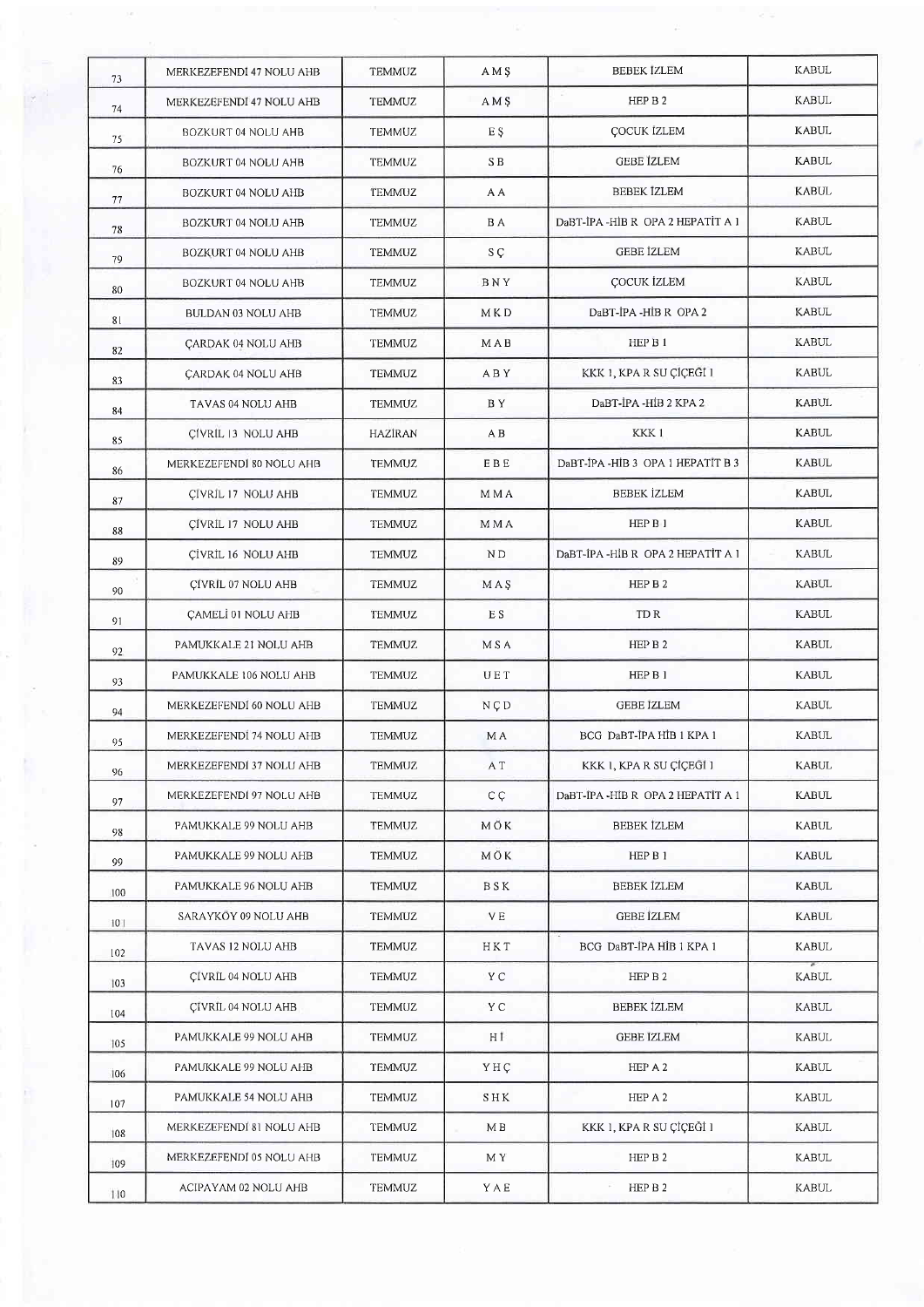| 73  | MERKEZEFENDI 47 NOLU AHB   | <b>TEMMUZ</b>  | AM <sub>S</sub> | <b>BEBEK IZLEM</b>                | <b>KABUL</b> |
|-----|----------------------------|----------------|-----------------|-----------------------------------|--------------|
| 74  | MERKEZEFENDI 47 NOLU AHB   | <b>TEMMUZ</b>  | AM <sub>S</sub> | HEP B 2                           | <b>KABUL</b> |
| 75  | BOZKURT 04 NOLU AHB        | <b>TEMMUZ</b>  | E S             | <b>COCUK IZLEM</b>                | KABUL        |
| 76  | BOZKURT 04 NOLU AHB        | <b>TEMMUZ</b>  | SB              | <b>GEBE IZLEM</b>                 | KABUL        |
| 77  | BOZKURT 04 NOLU AHB        | <b>TEMMUZ</b>  | A A             | BEBEK IZLEM                       | KABUL        |
| 78  | BOZKURT 04 NOLU AHB        | <b>TEMMUZ</b>  | B A             | DaBT-IPA-HIB R OPA 2 HEPATIT A 1  | <b>KABUL</b> |
| 79  | <b>BOZKURT 04 NOLU AHB</b> | <b>TEMMUZ</b>  | S Ç             | <b>GEBE IZLEM</b>                 | <b>KABUL</b> |
| 80  | BOZKURT 04 NOLU AHB        | <b>TEMMUZ</b>  | BNY             | <b>COCUK İZLEM</b>                | <b>KABUL</b> |
| 81  | BULDAN 03 NOLU AHB         | <b>TEMMUZ</b>  | M K D           | DaBT-IPA -HIB R OPA 2             | <b>KABUL</b> |
| 82  | CARDAK 04 NOLU AHB         | <b>TEMMUZ</b>  | MAB             | HEP B 1                           | KABUL        |
| 83  | CARDAK 04 NOLU AHB         | <b>TEMMUZ</b>  | ABY             | KKK 1, KPA R SU ÇİÇEĞİ 1          | <b>KABUL</b> |
| 84  | TAVAS 04 NOLU AHB          | <b>TEMMUZ</b>  | BY.             | DaBT-İPA -HİB 2 KPA 2             | <b>KABUL</b> |
| 85  | CÍVRÍL 13 NOLU AHB         | <b>HAZİRAN</b> | A B             | KKK1                              | <b>KABUL</b> |
| 86  | MERKEZEFENDI 80 NOLU AHB   | <b>TEMMUZ</b>  | <b>EBE</b>      | DaBT-IPA -HIB 3 OPA 1 HEPATIT B 3 | <b>KABUL</b> |
| 87  | CIVRIL 17 NOLU AHB         | <b>TEMMUZ</b>  | M M A           | <b>BEBEK İZLEM</b>                | <b>KABUL</b> |
| 88  | CIVRIL 17 NOLU AHB         | <b>TEMMUZ</b>  | M M A           | HEP B 1                           | <b>KABUL</b> |
| 89  | CIVRIL 16 NOLU AHB         | TEMMUZ         | ND              | DaBT-İPA -HİB R OPA 2 HEPATİT A 1 | <b>KABUL</b> |
| 90  | CIVRIL 07 NOLU AHB         | TEMMUZ         | MAS             | HEP B 2                           | <b>KABUL</b> |
| 91  | CAMELI 01 NOLU AHB         | <b>TEMMUZ</b>  | E S             | TD R                              | <b>KABUL</b> |
| 92  | PAMUKKALE 21 NOLU AHB      | TEMMUZ         | M S A           | HEP B 2                           | <b>KABUL</b> |
| 93  | PAMUKKALE 106 NOLU AHB     | TEMMUZ         | UET             | HEP B 1                           | <b>KABUL</b> |
| 94  | MERKEZEFENDI 60 NOLU AHB   | <b>TEMMUZ</b>  | NCD             | GEBE IZLEM                        | KABUL        |
| 95  | MERKEZEFENDİ 74 NOLU AHB   | TEMMUZ         | M A             | BCG DaBT-IPA HIB 1 KPA 1          | <b>KABUL</b> |
| 96  | MERKEZEFENDI 37 NOLU AHB   | TEMMUZ         | A T             | KKK 1, KPA R SU ÇİÇEĞİ 1          | <b>KABUL</b> |
| 97  | MERKEZEFENDI 97 NOLU AHB   | <b>TEMMUZ</b>  | C <sub>C</sub>  | DaBT-IPA-HIB R OPA 2 HEPATIT A 1  | <b>KABUL</b> |
| 98  | PAMUKKALE 99 NOLU AHB      | <b>TEMMUZ</b>  | МŌК             | <b>BEBEK IZLEM</b>                | <b>KABUL</b> |
| 99  | PAMUKKALE 99 NOLU AHB      | <b>TEMMUZ</b>  | MÖK             | HEP B 1                           | <b>KABUL</b> |
| 100 | PAMUKKALE 96 NOLU AHB      | <b>TEMMUZ</b>  | <b>BSK</b>      | <b>BEBEK IZLEM</b>                | <b>KABUL</b> |
| 101 | SARAYKÖY 09 NOLU AHB       | <b>TEMMUZ</b>  | V E             | <b>GEBE IZLEM</b>                 | <b>KABUL</b> |
| 102 | TAVAS 12 NOLU AHB          | <b>TEMMUZ</b>  | НКТ             | BCG DaBT-IPA HIB 1 KPA 1          | <b>KABUL</b> |
| 103 | CIVRIL 04 NOLU AHB         | <b>TEMMUZ</b>  | Y C             | HEP B 2                           | KABUL        |
| 104 | CIVRIL 04 NOLU AHB         | TEMMUZ         | Y C             | <b>BEBEK IZLEM</b>                | <b>KABUL</b> |
| 105 | PAMUKKALE 99 NOLU AHB      | <b>TEMMUZ</b>  | НĪ              | <b>GEBE IZLEM</b>                 | <b>KABUL</b> |
| 106 | PAMUKKALE 99 NOLU AHB      | <b>TEMMUZ</b>  | YHC             | HEP A 2                           | <b>KABUL</b> |
| 107 | PAMUKKALE 54 NOLU AHB      | <b>TEMMUZ</b>  | SHK             | HEP A 2                           | <b>KABUL</b> |
| 108 | MERKEZEFENDI 81 NOLU AHB   | TEMMUZ         | MВ              | KKK 1, KPA R SU ÇİÇEĞİ 1          | <b>KABUL</b> |
| 109 | MERKEZEFENDI 05 NOLU AHB   | TEMMUZ         | M Y             | HEP B 2                           | <b>KABUL</b> |
| 110 | ACIPAYAM 02 NOLU AHB       | <b>TEMMUZ</b>  | YAE             | HEP B 2                           | <b>KABUL</b> |

 $\frac{1}{\alpha^2}$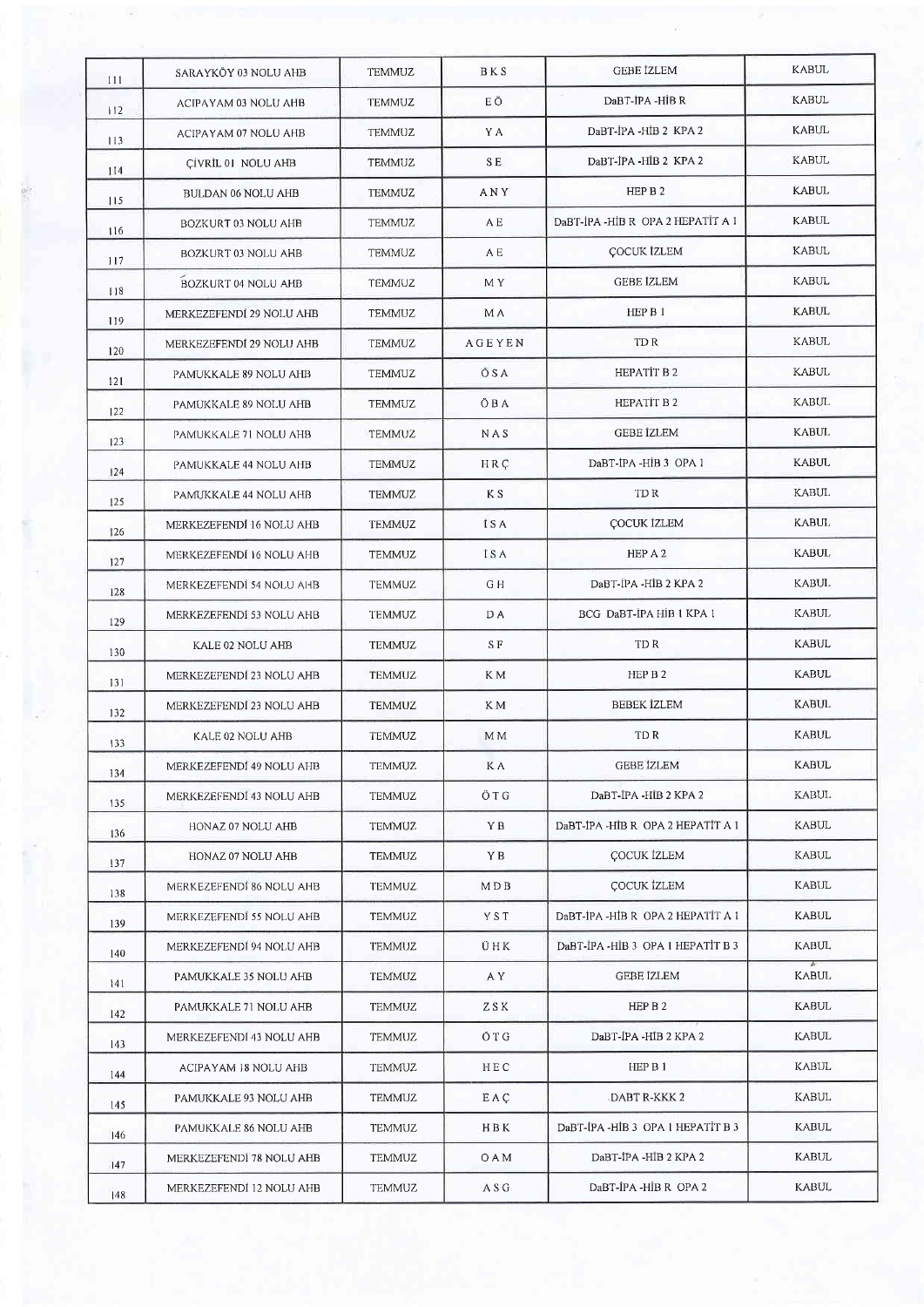|   | 111 | SARAYKÖY 03 NOLU AHB       | TEMMUZ        | BKS            | GEBE IZLEM                        | <b>KABUL</b> |
|---|-----|----------------------------|---------------|----------------|-----------------------------------|--------------|
|   | 112 | ACIPAYAM 03 NOLU AHB       | TEMMUZ        | ΕÖ             | DaBT-IPA -HIB R                   | KABUL        |
|   | 113 | ACIPAYAM 07 NOLU AHB       | TEMMUZ        | Y A            | DaBT-IPA -HIB 2 KPA 2             | <b>KABUL</b> |
|   | 114 | CIVRIL 01 NOLU AHB         | <b>TEMMUZ</b> | SE.            | DaBT-IPA -HIB 2 KPA 2             | KABUL        |
| 燃 | 115 | BULDAN 06 NOLU AHB         | TEMMUZ        | ANY            | HEP B 2                           | KABUL        |
|   | 16  | BOZKURT 03 NOLU AHB        | TEMMUZ        | A E            | DaBT-IPA-HIB R OPA 2 HEPATIT A 1  | KABUL        |
|   | 117 | BOZKURT 03 NOLU AHB        | <b>TEMMUZ</b> | A E            | <b>COCUK İZLEM</b>                | <b>KABUL</b> |
|   | 118 | <b>BOZKURT 04 NOLU AHB</b> | <b>TEMMUZ</b> | MY <sub></sub> | <b>GEBE IZLEM</b>                 | <b>KABUL</b> |
|   | 119 | MERKEZEFENDİ 29 NOLU AHB   | <b>TEMMUZ</b> | M A            | HEP B 1                           | KABUL        |
|   | 120 | MERKEZEFENDI 29 NOLU AHB   | TEMMUZ        | AGEYEN         | TD R                              | KABUL        |
|   | 121 | PAMUKKALE 89 NOLU AHB      | TEMMUZ        | ŌSA            | HEPATIT B 2                       | KABUL        |
|   | 122 | PAMUKKALE 89 NOLU AHB      | <b>TEMMUZ</b> | ÖВA            | HEPATIT B 2                       | KABUL        |
|   | 123 | PAMUKKALE 71 NOLU AHB      | TEMMUZ        | NAS            | <b>GEBE IZLEM</b>                 | <b>KABUL</b> |
|   | 124 | PAMUKKALE 44 NOLU AHB      | TEMMUZ        | HRC            | DaBT-IPA -HIB 3 OPA 1             | KABUL        |
|   | 125 | PAMUKKALE 44 NOLU AHB      | TEMMUZ        | K S            | TD R                              | <b>KABUL</b> |
|   | 126 | MERKEZEFENDI 16 NOLU AHB   | <b>TEMMUZ</b> | <b>ISA</b>     | <b>ÇOCUK İZLEM</b>                | <b>KABUL</b> |
|   | 127 | MERKEZEFENDI 16 NOLU AHB   | TEMMUZ        | İSA            | HEP A 2                           | KABUL        |
|   | 128 | MERKEZEFENDI 54 NOLU AHB   | TEMMUZ        | G H            | DaBT-IPA -HIB 2 KPA 2             | KABUL        |
|   | 129 | MERKEZEFENDI 53 NOLU AHB   | TEMMUZ        | D A            | BCG DaBT-IPA HIB 1 KPA 1          | KABUL        |
|   | 130 | KALE 02 NOLU AHB           | <b>TEMMUZ</b> | S F            | TD R                              | KABUL        |
|   | 131 | MERKEZEFENDI 23 NOLU AHB   | <b>TEMMUZ</b> | K M            | HEP B 2                           | KABUL        |
|   | 132 | MERKEZEFENDI 23 NOLU AHB   | TEMMUZ        | K M            | <b>BEBEK İZLEM</b>                | <b>KABUL</b> |
|   | 133 | KALE 02 NOLU AHB           | <b>TEMMUZ</b> | M M            | TD R                              | <b>KABUL</b> |
|   | 134 | MERKEZEFENDI 49 NOLU AHB   | TEMMUZ        | K A            | <b>GEBE IZLEM</b>                 | KABUL        |
|   | 135 | MERKEZEFENDI 43 NOLU AHB   | TEMMUZ        | ÖTG            | DaBT-IPA -HIB 2 KPA 2             | KABUL        |
|   | 136 | HONAZ 07 NOLU AHB          | TEMMUZ        | ΥB             | DaBT-IPA-HIB R OPA 2 HEPATIT A 1  | <b>KABUL</b> |
|   | 137 | HONAZ 07 NOLU AHB          | TEMMUZ        | ΥB             | COCUK IZLEM                       | KABUL        |
|   | 138 | MERKEZEFENDI 86 NOLU AHB   | TEMMUZ        | MDB            | COCUK IZLEM                       | KABUL        |
|   | 139 | MERKEZEFENDI 55 NOLU AHB   | TEMMUZ        | YST            | DaBT-IPA-HIB R OPA 2 HEPATIT A 1  | KABUL        |
|   | 140 | MERKEZEFENDI 94 NOLU AHB   | TEMMUZ        | ÜHK            | DaBT-IPA-HIB 3 OPA 1 HEPATIT B 3  | KABUL        |
|   | 141 | PAMUKKALE 35 NOLU AHB      | TEMMUZ        | A Y            | GEBE IZLEM                        | KABUL        |
|   | 142 | PAMUKKALE 71 NOLU AHB      | TEMMUZ        | ZSK            | HEP B 2                           | KABUL        |
|   | 143 | MERKEZEFENDI 43 NOLU AHB   | TEMMUZ        | ŌTG            | DaBT-IPA -HIB 2 KPA 2             | KABUL        |
|   | 144 | ACIPAYAM 18 NOLU AHB       | TEMMUZ        | HEC            | HEP B 1                           | KABUL        |
|   | 145 | PAMUKKALE 93 NOLU AHB      | TEMMUZ        | EAÇ            | DABT R-KKK 2                      | KABUL        |
|   | 146 | PAMUKKALE 86 NOLU AHB      | TEMMUZ        | HBK            | DaBT-IPA -HIB 3 OPA 1 HEPATIT B 3 | KABUL        |
|   | 47  | MERKEZEFENDI 78 NOLU AHB   | TEMMUZ        | OAM            | DaBT-İPA -HİB 2 KPA 2             | KABUL        |
|   | 48  | MERKEZEFENDÎ 12 NOLU AHB   | TEMMUZ        | A S G          | DaBT-IPA -HIB R OPA 2             | <b>KABUL</b> |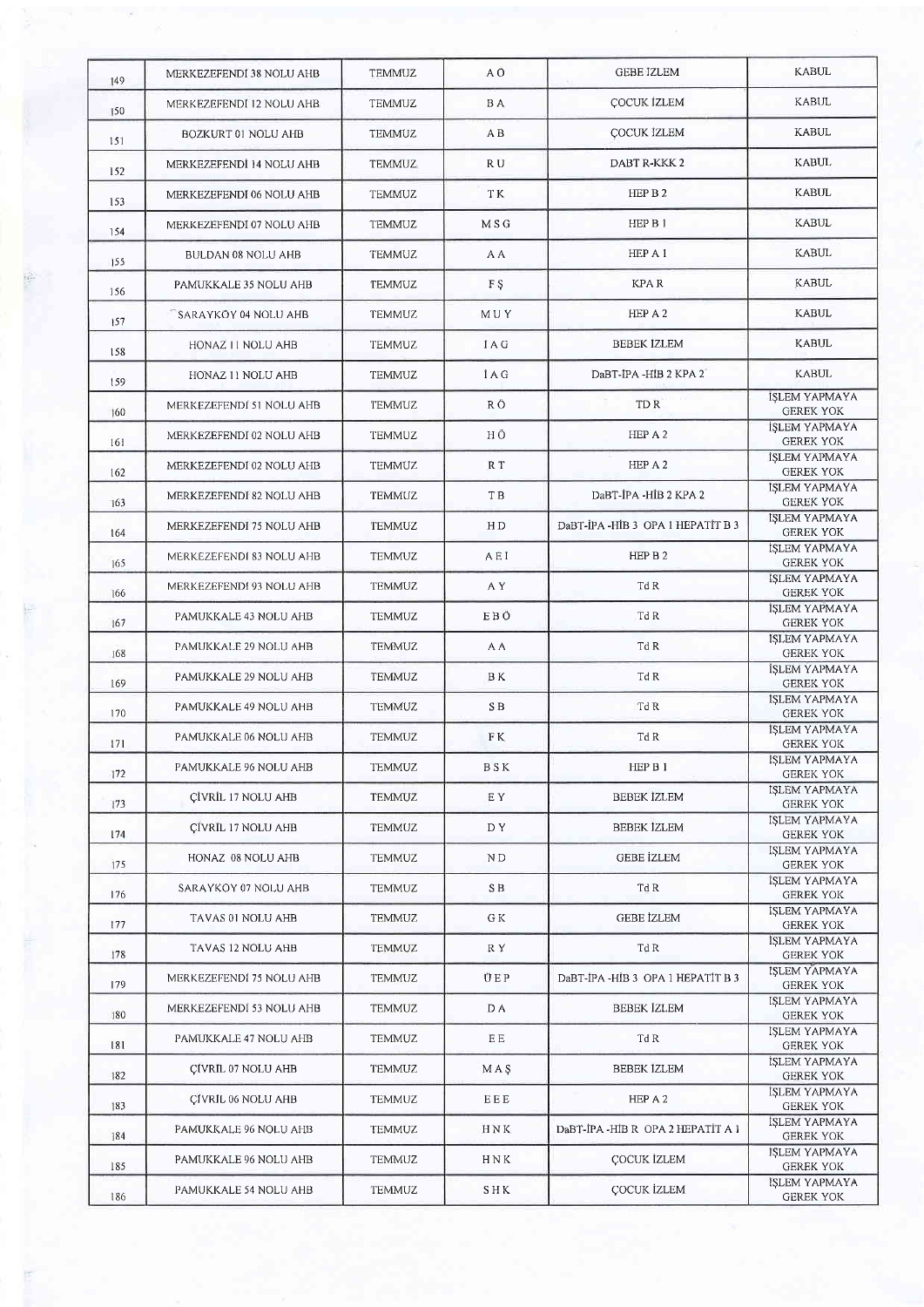| 149 | MERKEZEFENDI 38 NOLU AHB  | <b>TEMMUZ</b> | A Ō            | <b>GEBE IZLEM</b>                | <b>KABUL</b>                             |
|-----|---------------------------|---------------|----------------|----------------------------------|------------------------------------------|
| 150 | MERKEZEFENDI 12 NOLU AHB  | TEMMUZ        | B A            | COCUK İZLEM                      | <b>KABUL</b>                             |
| 151 | BOZKURT 01 NOLU AHB       | <b>TEMMUZ</b> | A B            | <b>COCUK İZLEM</b>               | <b>KABUL</b>                             |
| 152 | MERKEZEFENDİ 14 NOLU AHB  | <b>TEMMUZ</b> | R U            | DABT R-KKK 2                     | <b>KABUL</b>                             |
| 153 | MERKEZEFENDI 06 NOLU AHB  | <b>TEMMUZ</b> | ΤK             | HEP B 2                          | <b>KABUL</b>                             |
| 154 | MERKEZEFENDI 07 NOLU AHB  | <b>TEMMUZ</b> | MSG            | HEP B 1                          | <b>KABUL</b>                             |
| 155 | BULDAN 08 NOLU AHB        | <b>TEMMUZ</b> | A A            | HEP A 1                          | KABUL                                    |
| 156 | PAMUKKALE 35 NOLU AHB     | <b>TEMMUZ</b> | F <sub>S</sub> | <b>KPAR</b>                      | <b>KABUL</b>                             |
| 157 | SARAYKÖY 04 NOLU AHB      | <b>TEMMUZ</b> | MUY            | HEP A 2                          | <b>KABUL</b>                             |
| 158 | HONAZ II NOLU AHB         | <b>TEMMUZ</b> | <b>IAG</b>     | <b>BEBEK IZLEM</b>               | <b>KABUL</b>                             |
| 159 | HONAZ 11 NOLU AHB         | <b>TEMMUZ</b> | <b>İAG</b>     | DaBT-IPA -HIB 2 KPA 2            | <b>KABUL</b>                             |
| 160 | MERKEZEFENDI 51 NOLU AHB  | <b>TEMMUZ</b> | R Ö            | TD R                             | İŞLEM YAPMAYA<br><b>GEREK YOK</b>        |
| 161 | MERKEZEFENDI 02 NOLU AHB  | TEMMUZ        | НÖ             | HEP A 2                          | <b>İSLEM YAPMAYA</b><br><b>GEREK YOK</b> |
| 162 | MERKEZEFENDI 02 NOLU AHB  | <b>TEMMUZ</b> | R T            | HEP A 2                          | İSLEM YAPMAYA<br><b>GEREK YOK</b>        |
| 163 | MERKEZEFENDI 82 NOLU AHB  | <b>TEMMUZ</b> | T B            | DaBT-IPA -HIB 2 KPA 2            | İŞLEM YAPMAYA<br><b>GEREK YOK</b>        |
| 164 | MERKEZEFENDI 75 NOLU AHB  | <b>TEMMUZ</b> | HD             | DaBT-IPA-HIB 3 OPA 1 HEPATIT B 3 | İŞLEM YAPMAYA<br><b>GEREK YOK</b>        |
| 165 | MERKEZEFENDI 83 NOLU AHB  | <b>TEMMUZ</b> | AEI            | HEP B 2                          | İŞLEM YAPMAYA<br><b>GEREK YOK</b>        |
| 166 | MERKEZEFENDI 93 NOLU AHB  | TEMMUZ        | A Y            | Td R                             | İSLEM YAPMAYA<br><b>GEREK YOK</b>        |
| 167 | PAMUKKALE 43 NOLU AHB     | TEMMUZ        | EBÖ            | Td R                             | İŞLEM YAPMAYA<br><b>GEREK YOK</b>        |
| 168 | PAMUKKALE 29 NOLU AHB     | <b>TEMMUZ</b> | A A            | Td R                             | İSLEM YAPMAYA<br><b>GEREK YOK</b>        |
| 169 | PAMUKKALE 29 NOLU AHB     | <b>TEMMUZ</b> | BK.            | Td R                             | İSLEM YAPMAYA<br><b>GEREK YOK</b>        |
| 170 | PAMUKKALE 49 NOLU AHB     | TEMMUZ        | SB.            | Td R                             | İŞLEM YAPMAYA<br><b>GEREK YOK</b>        |
| 171 | PAMUKKALE 06 NOLU AHB     | <b>TEMMUZ</b> | F K            | Td R                             | İŞLEM YAPMAYA<br><b>GEREK YOK</b>        |
| 172 | PAMUKKALE 96 NOLU AHB     | TEMMUZ        | BSK            | HEP B 1                          | IŞLEM YAPMAYA<br><b>GEREK YOK</b>        |
| 173 | CIVRIL 17 NOLU AHB        | TEMMUZ        | EY.            | <b>BEBEK IZLEM</b>               | <b>İSLEM YAPMAYA</b><br><b>GEREK YOK</b> |
| 174 | ÇÎVRÎL 17 NOLU AHB        | <b>TEMMUZ</b> | DY.            | BEBEK İZLEM                      | İŞLEM YAPMAYA<br><b>GEREK YOK</b>        |
| 175 | HONAZ 08 NOLU AHB         | <b>TEMMUZ</b> | N D            | GEBE İZLEM                       | <b>ISLEM YAPMAYA</b><br><b>GEREK YOK</b> |
| 176 | SARAYKÖY 07 NOLU AHB      | <b>TEMMUZ</b> | SB.            | Td R                             | İŞLEM YAPMAYA<br><b>GEREK YOK</b>        |
| 177 | TAVAS 01 NOLU AHB         | TEMMUZ        | G K            | <b>GEBE IZLEM</b>                | İSLEM YAPMAYA<br><b>GEREK YOK</b>        |
| 178 | TAVAS 12 NOLU AHB         | TEMMUZ        | R Y            | Td R                             | <b>İSLEM YAPMAYA</b><br><b>GEREK YOK</b> |
| 179 | MERKEZEFENDI 75 NOLU AHB  | TEMMUZ        | ÜEP            | DaBT-IPA-HIB 3 OPA 1 HEPATIT B 3 | <b>ISLEM YAPMAYA</b><br><b>GEREK YOK</b> |
| 180 | MERKEZEFENDI 53 NOLU AHB  | TEMMUZ        | D A            | <b>BEBEK IZLEM</b>               | İSLEM YAPMAYA<br><b>GEREK YOK</b>        |
| 181 | PAMUKKALE 47 NOLU AHB     | TEMMUZ        | ΕE             | Td R                             | <b>ISLEM YAPMAYA</b><br><b>GEREK YOK</b> |
| 182 | <b>CÍVRIL 07 NOLU AHB</b> | <b>TEMMUZ</b> | MAS            | <b>BEBEK IZLEM</b>               | İSLEM YAPMAYA<br><b>GEREK YOK</b>        |
| 183 | CÍVRIL 06 NOLU AHB        | TEMMUZ        | EEE            | HEP A 2                          | <b>ISLEM YAPMAYA</b><br><b>GEREK YOK</b> |
| 184 | PAMUKKALE 96 NOLU AHB     | TEMMUZ        | HNK            | DaBT-IPA-HIB R OPA 2 HEPATIT A 1 | İSLEM YAPMAYA<br><b>GEREK YOK</b>        |
| 185 | PAMUKKALE 96 NOLU AHB     | TEMMUZ        | HNK            | COCUK İZLEM                      | İŞLEM YAPMAYA<br><b>GEREK YOK</b>        |
| 186 | PAMUKKALE 54 NOLU AHB     | TEMMUZ        | S H K          | <b>COCUK İZLEM</b>               | İŞLEM YAPMAYA<br><b>GEREK YOK</b>        |
|     |                           |               |                |                                  |                                          |

F